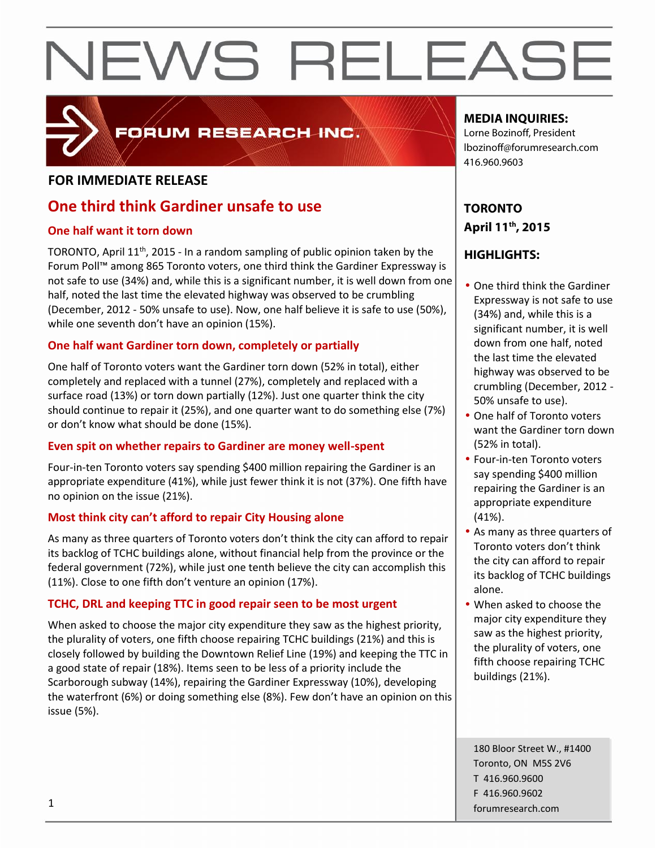

### FORUM RESEARCH INC.

#### **FOR IMMEDIATE RELEASE**

### **One third think Gardiner unsafe to use**

#### **One half want it torn down**

TORONTO, April 11<sup>th</sup>, 2015 - In a random sampling of public opinion taken by the Forum Poll™ among 865 Toronto voters, one third think the Gardiner Expressway is not safe to use (34%) and, while this is a significant number, it is well down from one half, noted the last time the elevated highway was observed to be crumbling (December, 2012 - 50% unsafe to use). Now, one half believe it is safe to use (50%), while one seventh don't have an opinion (15%).

#### **One half want Gardiner torn down, completely or partially**

One half of Toronto voters want the Gardiner torn down (52% in total), either completely and replaced with a tunnel (27%), completely and replaced with a surface road (13%) or torn down partially (12%). Just one quarter think the city should continue to repair it (25%), and one quarter want to do something else (7%) or don't know what should be done (15%).

#### **Even spit on whether repairs to Gardiner are money well-spent**

Four-in-ten Toronto voters say spending \$400 million repairing the Gardiner is an appropriate expenditure (41%), while just fewer think it is not (37%). One fifth have no opinion on the issue (21%).

#### **Most think city can't afford to repair City Housing alone**

As many as three quarters of Toronto voters don't think the city can afford to repair its backlog of TCHC buildings alone, without financial help from the province or the federal government (72%), while just one tenth believe the city can accomplish this (11%). Close to one fifth don't venture an opinion (17%).

#### **TCHC, DRL and keeping TTC in good repair seen to be most urgent**

When asked to choose the major city expenditure they saw as the highest priority, the plurality of voters, one fifth choose repairing TCHC buildings (21%) and this is closely followed by building the Downtown Relief Line (19%) and keeping the TTC in a good state of repair (18%). Items seen to be less of a priority include the Scarborough subway (14%), repairing the Gardiner Expressway (10%), developing the waterfront (6%) or doing something else (8%). Few don't have an opinion on this issue (5%).

#### **MEDIA INQUIRIES:**

Lorne Bozinoff, President lbozinoff@forumresearch.com 416.960.9603

### **TORONTO April 11th, 2015**

#### **HIGHLIGHTS:**

- One third think the Gardiner Expressway is not safe to use (34%) and, while this is a significant number, it is well down from one half, noted the last time the elevated highway was observed to be crumbling (December, 2012 - 50% unsafe to use).
- One half of Toronto voters want the Gardiner torn down (52% in total).
- Four-in-ten Toronto voters say spending \$400 million repairing the Gardiner is an appropriate expenditure (41%).
- As many as three quarters of Toronto voters don't think the city can afford to repair its backlog of TCHC buildings alone.
- When asked to choose the major city expenditure they saw as the highest priority, the plurality of voters, one fifth choose repairing TCHC buildings (21%).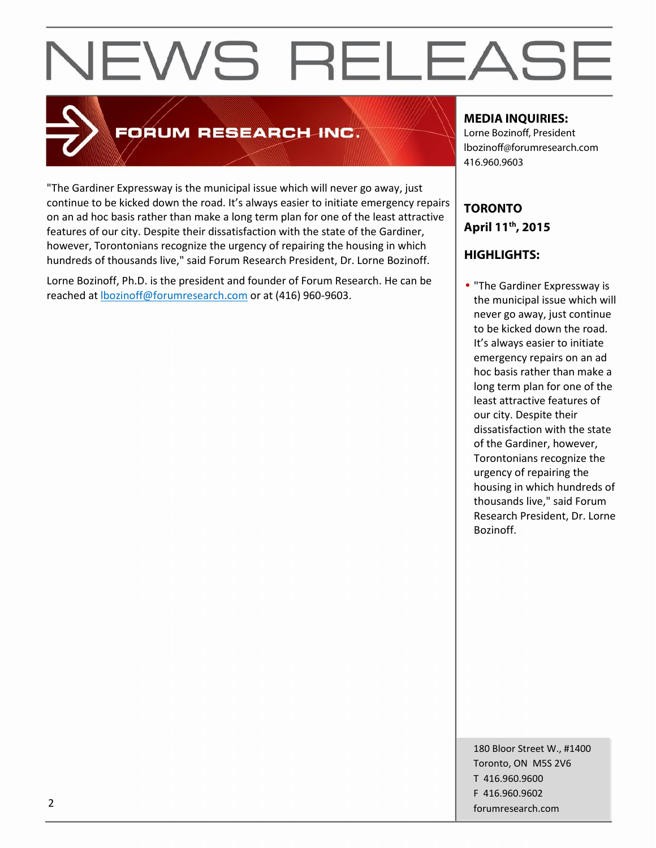

### FORUM RESEARCH INC.

"The Gardiner Expressway is the municipal issue which will never go away, just continue to be kicked down the road. It's always easier to initiate emergency repairs on an ad hoc basis rather than make a long term plan for one of the least attractive features of our city. Despite their dissatisfaction with the state of the Gardiner, however, Torontonians recognize the urgency of repairing the housing in which hundreds of thousands live," said Forum Research President, Dr. Lorne Bozinoff.

Lorne Bozinoff, Ph.D. is the president and founder of Forum Research. He can be reached at lbozinoff@forumresearch.com or at (416) 960-9603.

#### **MEDIA INQUIRIES:**

Lorne Bozinoff, President lbozinoff@forumresearch.com 416.960.9603

### **TORONTO April 11th, 2015**

### **HIGHLIGHTS:**

• "The Gardiner Expressway is the municipal issue which will never go away, just continue to be kicked down the road. It's always easier to initiate emergency repairs on an ad hoc basis rather than make a long term plan for one of the least attractive features of our city. Despite their dissatisfaction with the state of the Gardiner, however, Torontonians recognize the urgency of repairing the housing in which hundreds of thousands live," said Forum Research President, Dr. Lorne Bozinoff.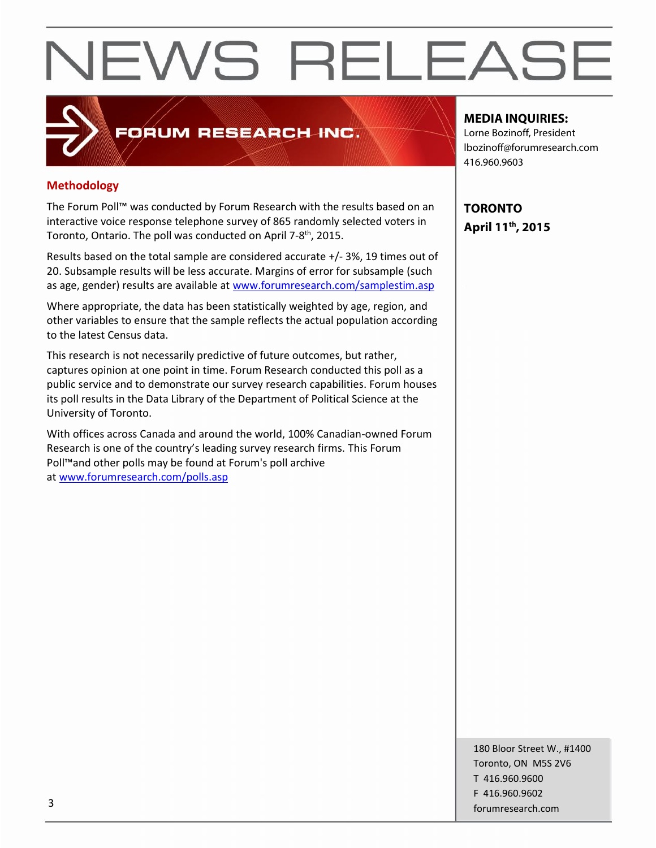#### **Methodology**

The Forum Poll™ was conducted by Forum Research with the results based on an interactive voice response telephone survey of 865 randomly selected voters in Toronto, Ontario. The poll was conducted on April 7-8<sup>th</sup>, 2015.

FORUM RESEARCH INC.

Results based on the total sample are considered accurate +/-3%, 19 times out of 20. Subsample results will be less accurate. Margins of error for subsample (such as age, gender) results are available at www.forumresearch.com/samplestim.asp

Where appropriate, the data has been statistically weighted by age, region, and other variables to ensure that the sample reflects the actual population according to the latest Census data.

This research is not necessarily predictive of future outcomes, but rather, captures opinion at one point in time. Forum Research conducted this poll as a public service and to demonstrate our survey research capabilities. Forum houses its poll results in the Data Library of the Department of Political Science at the University of Toronto.

With offices across Canada and around the world, 100% Canadian-owned Forum Research is one of the country's leading survey research firms. This Forum Poll™and other polls may be found at Forum's poll archive at www.forumresearch.com/polls.asp

#### **MEDIA INQUIRIES:**

Lorne Bozinoff, President lbozinoff@forumresearch.com 416.960.9603

**TORONTO April 11th, 2015**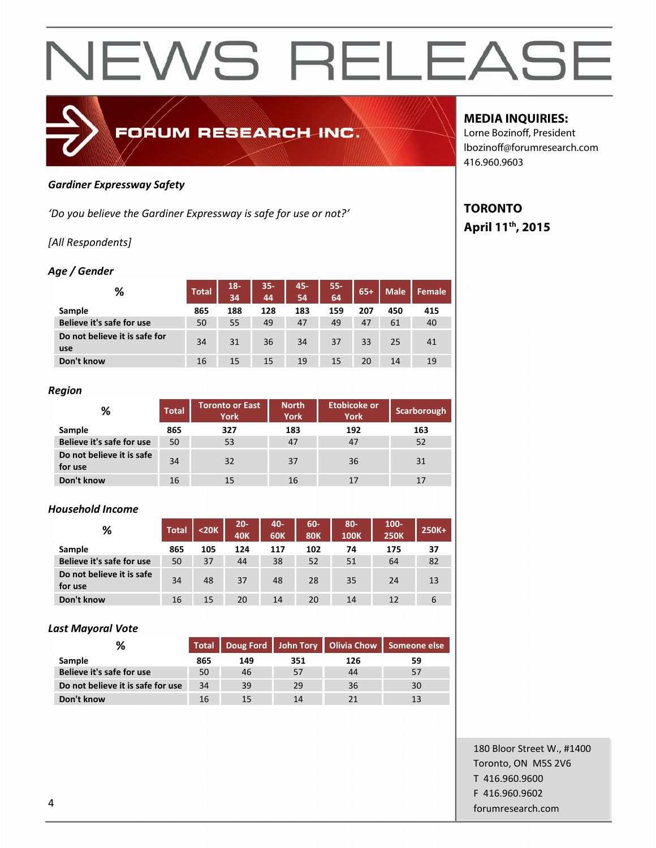

#### *Gardiner Expressway Safety*

*'Do you believe the Gardiner Expressway is safe for use or not?'*

#### *[All Respondents]*

#### *Age / Gender*

| %                                    | <b>Total</b> | $18 -$<br>34 | $35 -$<br>44 | 45-<br>54 | 55-<br>64 | $65+$ | <b>Male</b> | <b>Female</b> |
|--------------------------------------|--------------|--------------|--------------|-----------|-----------|-------|-------------|---------------|
| Sample                               | 865          | 188          | 128          | 183       | 159       | 207   | 450         | 415           |
| Believe it's safe for use            | 50           | 55           | 49           | 47        | 49        | 47    | 61          | 40            |
| Do not believe it is safe for<br>use | 34           | 31           | 36           | 34        | 37        | 33    | 25          | 41            |
| Don't know                           | 16           | 15           | 15           | 19        | 15        | 20    | 14          | 19            |

#### *Region*

| %                                    | <b>Total</b> | <b>Toronto or East</b><br><b>York</b> | <b>North</b><br><b>York</b> | <b>Etobicoke or</b><br><b>York</b> | Scarborough |  |
|--------------------------------------|--------------|---------------------------------------|-----------------------------|------------------------------------|-------------|--|
| Sample                               | 865          | 327                                   | 183                         | 192                                | 163         |  |
| Believe it's safe for use            | 50           | 53                                    | 47                          | 47                                 | 52          |  |
| Do not believe it is safe<br>for use | 34           | 32                                    | 37                          | 36                                 | 31          |  |
| Don't know                           | 16           | 15                                    | 16                          | 17                                 | 17          |  |

#### *Household Income*

| %                                    | <b>Total</b> | $20K$ | $20 -$<br><b>40K</b> | 40-<br><b>60K</b> | 60-<br><b>80K</b> | 80-<br><b>100K</b> | $100 -$<br><b>250K</b> | 250K+ |
|--------------------------------------|--------------|-------|----------------------|-------------------|-------------------|--------------------|------------------------|-------|
| Sample                               | 865          | 105   | 124                  | 117               | 102               | 74                 | 175                    | 37    |
| Believe it's safe for use            | 50           | 37    | 44                   | 38                | 52                | 51                 | 64                     | 82    |
| Do not believe it is safe<br>for use | 34           | 48    | 37                   | 48                | 28                | 35                 | 24                     | 13    |
| Don't know                           | 16           | 15    | 20                   | 14                | 20                | 14                 | 12                     | 6     |

#### *Last Mayoral Vote*

|                                   | Total   Doug Ford   John Tory   Olivia Chow   Someone else |     |     |     |    |
|-----------------------------------|------------------------------------------------------------|-----|-----|-----|----|
| Sample                            | 865                                                        | 149 | 351 | 126 | 59 |
| Believe it's safe for use         | 50                                                         | 46  | 57  | 44  |    |
| Do not believe it is safe for use | 34                                                         | 39  | 29  | 36  | 30 |
| Don't know                        | 16                                                         |     | 14  |     |    |

#### **MEDIA INQUIRIES:**

Lorne Bozinoff, President lbozinoff@forumresearch.com 416.960.9603

#### **TORONTO April 11th, 2015**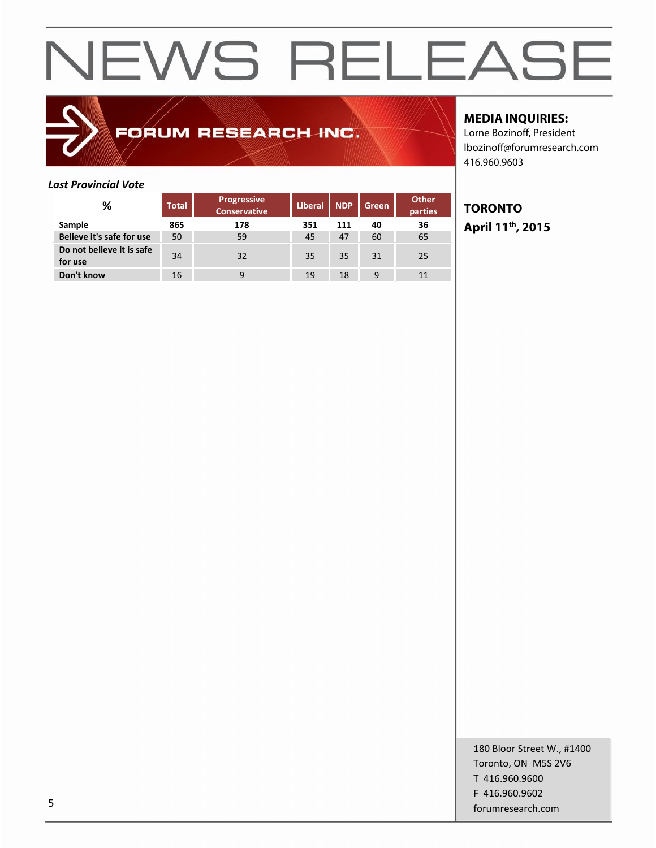### FORUM RESEARCH INC.

#### **MEDIA INQUIRIES:**

Lorne Bozinoff, President lbozinoff@forumresearch.com 416.960.9603

#### *Last Provincial Vote*

| %                                    | <b>Total</b> | Progressive<br>Conservative | <b>Liberal</b> | <b>NDP</b> | Green | <b>Other</b><br>parties |  |
|--------------------------------------|--------------|-----------------------------|----------------|------------|-------|-------------------------|--|
| Sample                               | 865          | 178                         | 351            | 111        | 40    | 36                      |  |
| Believe it's safe for use            | 50           | 59                          | 45             | 47         | 60    | 65                      |  |
| Do not believe it is safe<br>for use | 34           | 32                          | 35             | 35         | 31    | 25                      |  |
| Don't know                           | 16           | 9                           | 19             | 18         | 9     |                         |  |

#### **TORONTO April 11th, 2015**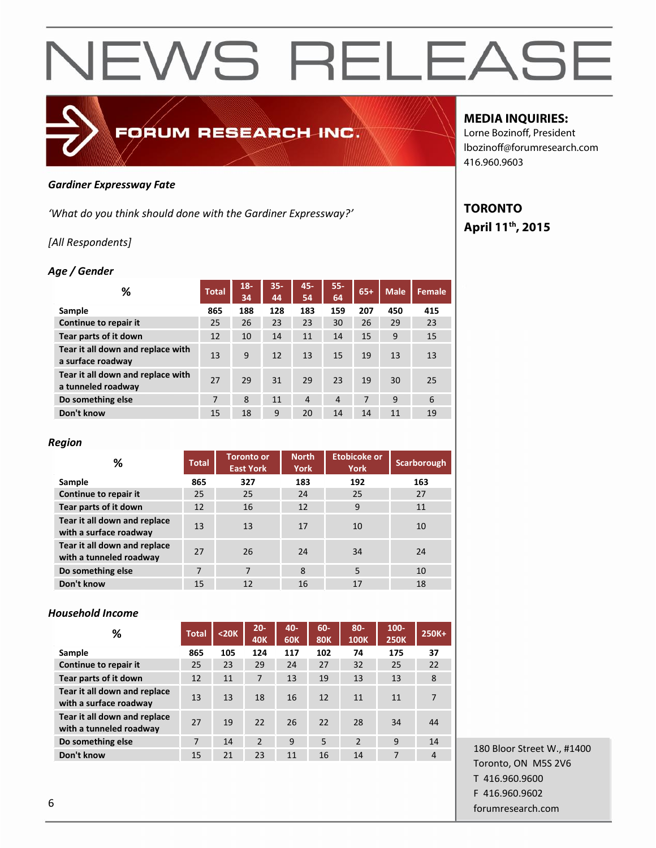### *Gardiner Expressway Fate*

*'What do you think should done with the Gardiner Expressway?'*

FORUM RESEARCH INC.

#### *[All Respondents]*

#### *Age / Gender*

| ℅                                                       | <b>Total</b> | $18 -$<br>34 | $35 -$<br>44 | $45 -$<br>54   | $55 -$<br>64   | $65+$ | <b>Male</b> | Female |
|---------------------------------------------------------|--------------|--------------|--------------|----------------|----------------|-------|-------------|--------|
| Sample                                                  | 865          | 188          | 128          | 183            | 159            | 207   | 450         | 415    |
| Continue to repair it                                   | 25           | 26           | 23           | 23             | 30             | 26    | 29          | 23     |
| Tear parts of it down                                   | 12           | 10           | 14           | 11             | 14             | 15    | 9           | 15     |
| Tear it all down and replace with<br>a surface roadway  | 13           | 9            | 12           | 13             | 15             | 19    | 13          | 13     |
| Tear it all down and replace with<br>a tunneled roadway | 27           | 29           | 31           | 29             | 23             | 19    | 30          | 25     |
| Do something else                                       | 7            | 8            | 11           | $\overline{4}$ | $\overline{4}$ | 7     | 9           | 6      |
| Don't know                                              | 15           | 18           | 9            | 20             | 14             | 14    | 11          | 19     |

#### *Region*

| %                                                       | <b>Total</b> | <b>Toronto or</b><br><b>East York</b> | <b>North</b><br><b>York</b> | Etobicoke or<br><b>York</b> | <b>Scarborough</b> |
|---------------------------------------------------------|--------------|---------------------------------------|-----------------------------|-----------------------------|--------------------|
| Sample                                                  | 865          | 327                                   | 183                         | 192                         | 163                |
| Continue to repair it                                   | 25           | 25                                    | 24                          | 25                          | 27                 |
| Tear parts of it down                                   | 12           | 16                                    | 12                          | 9                           | 11                 |
| Tear it all down and replace<br>with a surface roadway  | 13           | 13                                    | 17                          | 10                          | 10                 |
| Tear it all down and replace<br>with a tunneled roadway | 27           | 26                                    | 24                          | 34                          | 24                 |
| Do something else                                       | 7            | 7                                     | 8                           | 5                           | 10                 |
| Don't know                                              | 15           | 12                                    | 16                          | 17                          | 18                 |

#### *Household Income*

| %                                                       | <b>Total</b> | $<$ 20 $K$ | $20 -$<br><b>40K</b> | $40 -$<br><b>60K</b> | 60-<br><b>80K</b> | $80 -$<br><b>100K</b> | $100 -$<br><b>250K</b> | 250K+          |
|---------------------------------------------------------|--------------|------------|----------------------|----------------------|-------------------|-----------------------|------------------------|----------------|
| Sample                                                  | 865          | 105        | 124                  | 117                  | 102               | 74                    | 175                    | 37             |
| Continue to repair it                                   | 25           | 23         | 29                   | 24                   | 27                | 32                    | 25                     | 22             |
| Tear parts of it down                                   | 12           | 11         | 7                    | 13                   | 19                | 13                    | 13                     | 8              |
| Tear it all down and replace<br>with a surface roadway  | 13           | 13         | 18                   | 16                   | 12                | 11                    | 11                     | 7              |
| Tear it all down and replace<br>with a tunneled roadway | 27           | 19         | 22                   | 26                   | 22                | 28                    | 34                     | 44             |
| Do something else                                       | 7            | 14         | 2                    | 9                    | 5                 | $\mathcal{P}$         | 9                      | 14             |
| Don't know                                              | 15           | 21         | 23                   | 11                   | 16                | 14                    | 7                      | $\overline{4}$ |

180 Bloor Street W., #1400 Toronto, ON M5S 2V6 T 416.960.9600 F 416.960.9602 forumresearch.com 6

#### **MEDIA INQUIRIES:**

Lorne Bozinoff, President lbozinoff@forumresearch.com 416.960.9603

#### **TORONTO April 11th, 2015**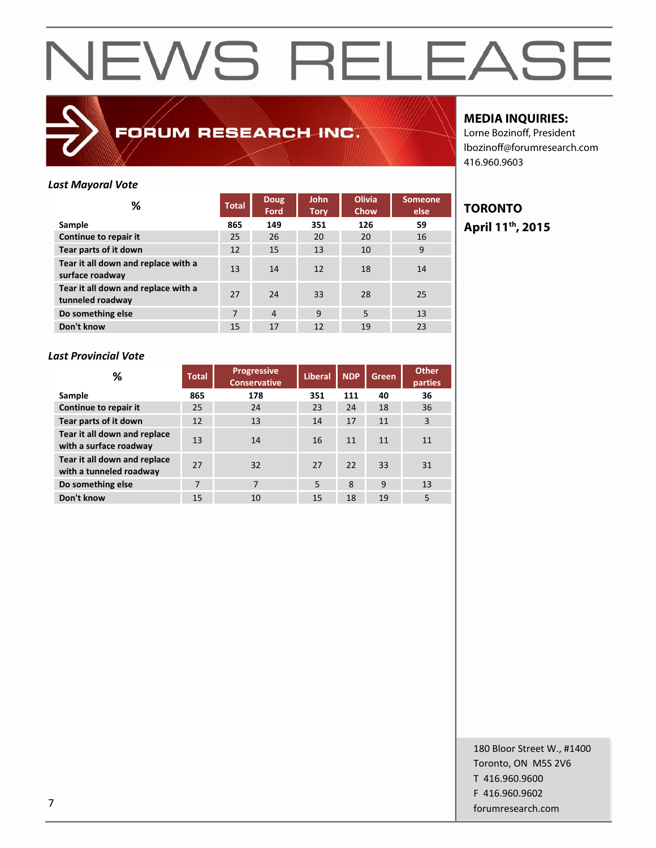

FORUM RESEARCH INC.

| <b>Last Mayoral Vote</b>                                |              |                     |                            |                       |                        |    |
|---------------------------------------------------------|--------------|---------------------|----------------------------|-----------------------|------------------------|----|
| %                                                       | <b>Total</b> | <b>Doug</b><br>Ford | <b>John</b><br><b>Tory</b> | <b>Olivia</b><br>Chow | <b>Someone</b><br>else | ТΟ |
| Sample                                                  | 865          | 149                 | 351                        | 126                   | 59                     | Αŗ |
| Continue to repair it                                   | 25           | 26                  | 20                         | 20                    | 16                     |    |
| Tear parts of it down                                   | 12           | 15                  | 13                         | 10                    | 9                      |    |
| Tear it all down and replace with a<br>surface roadway  | 13           | 14                  | 12                         | 18                    | 14                     |    |
| Tear it all down and replace with a<br>tunneled roadway | 27           | 24                  | 33                         | 28                    | 25                     |    |
| Do something else                                       | 7            | $\overline{4}$      | 9                          | 5                     | 13                     |    |
| Don't know                                              | 15           | 17                  | 12                         | 19                    | 23                     |    |

#### **MEDIA INQUIRIES:**

Lorne Bozinoff, President lbozinoff@forumresearch.com 416.960.9603

### **TORONTO April 11th, 2015**

#### *Last Provincial Vote*

| %                                                       | Total | <b>Progressive</b><br><b>Conservative</b> | <b>Liberal</b> | <b>NDP</b> | Green. | <b>Other</b><br>parties |
|---------------------------------------------------------|-------|-------------------------------------------|----------------|------------|--------|-------------------------|
| Sample                                                  | 865   | 178                                       | 351            | 111        | 40     | 36                      |
| Continue to repair it                                   | 25    | 24                                        | 23             | 24         | 18     | 36                      |
| Tear parts of it down                                   | 12    | 13                                        | 14             | 17         | 11     | 3                       |
| Tear it all down and replace<br>with a surface roadway  | 13    | 14                                        | 16             | 11         | 11     | 11                      |
| Tear it all down and replace<br>with a tunneled roadway | 27    | 32                                        | 27             | 22         | 33     | 31                      |
| Do something else                                       | 7     | 7                                         | 5              | 8          | 9      | 13                      |
| Don't know                                              | 15    | 10                                        | 15             | 18         | 19     | 5                       |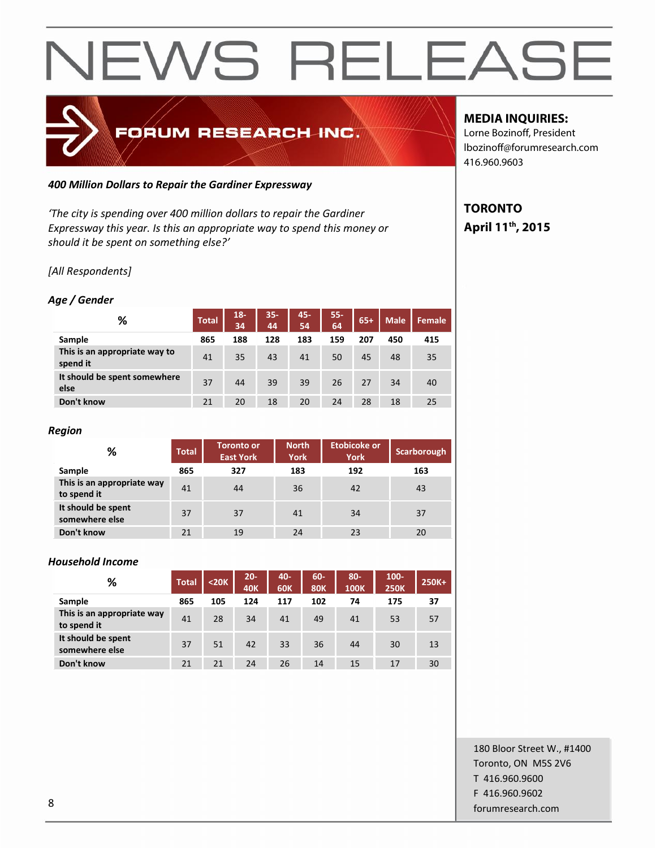

#### *400 Million Dollars to Repair the Gardiner Expressway*

*'The city is spending over 400 million dollars to repair the Gardiner Expressway this year. Is this an appropriate way to spend this money or should it be spent on something else?'*

#### *[All Respondents]*

#### *Age / Gender*

| ℅                                         | <b>Total</b> | $18 -$<br>34 | $35 -$<br>44 | 45-<br>54 | $55 -$<br>64 | $65+$ | <b>Male</b> | Female |
|-------------------------------------------|--------------|--------------|--------------|-----------|--------------|-------|-------------|--------|
| Sample                                    | 865          | 188          | 128          | 183       | 159          | 207   | 450         | 415    |
| This is an appropriate way to<br>spend it | 41           | 35           | 43           | 41        | 50           | 45    | 48          | 35     |
| It should be spent somewhere<br>else      | 37           | 44           | 39           | 39        | 26           | 27    | 34          | 40     |
| Don't know                                | 21           | 20           | 18           | 20        | 24           | 28    | 18          | 25     |

#### *Region*

| %                                         | <b>Total</b> | <b>Toronto or</b><br><b>East York</b> | <b>North</b><br><b>York</b> | <b>Etobicoke or</b><br><b>York</b> | Scarborough |
|-------------------------------------------|--------------|---------------------------------------|-----------------------------|------------------------------------|-------------|
| Sample                                    | 865          | 327                                   | 183                         | 192                                | 163         |
| This is an appropriate way<br>to spend it | 41           | 44                                    | 36                          | 42                                 | 43          |
| It should be spent<br>somewhere else      | 37           | 37                                    | 41                          | 34                                 | 37          |
| Don't know                                | 21           | 19                                    | 24                          | 23                                 | 20          |

#### *Household Income*

| %                                         | <b>Total</b> | $20K$ | $20 -$<br><b>40K</b> | 40-<br><b>60K</b> | 60-<br><b>80K</b> | $80-$<br><b>100K</b> | 100-<br><b>250K</b> | 250K+ |
|-------------------------------------------|--------------|-------|----------------------|-------------------|-------------------|----------------------|---------------------|-------|
| Sample                                    | 865          | 105   | 124                  | 117               | 102               | 74                   | 175                 | 37    |
| This is an appropriate way<br>to spend it | 41           | 28    | 34                   | 41                | 49                | 41                   | 53                  | 57    |
| It should be spent<br>somewhere else      | 37           | 51    | 42                   | 33                | 36                | 44                   | 30                  | 13    |
| Don't know                                | 21           | 21    | 24                   | 26                | 14                | 15                   | 17                  | 30    |

#### **MEDIA INQUIRIES:**

Lorne Bozinoff, President lbozinoff@forumresearch.com 416.960.9603

#### **TORONTO April 11th, 2015**

180 Bloor Street W., #1400 Toronto, ON M5S 2V6 T 416.960.9600 F 416.960.9602 entity and the state of the state of the state of the state of the state of the state of the state of the state of the state of the state of the state of the state of the state of the state of the state of the state of the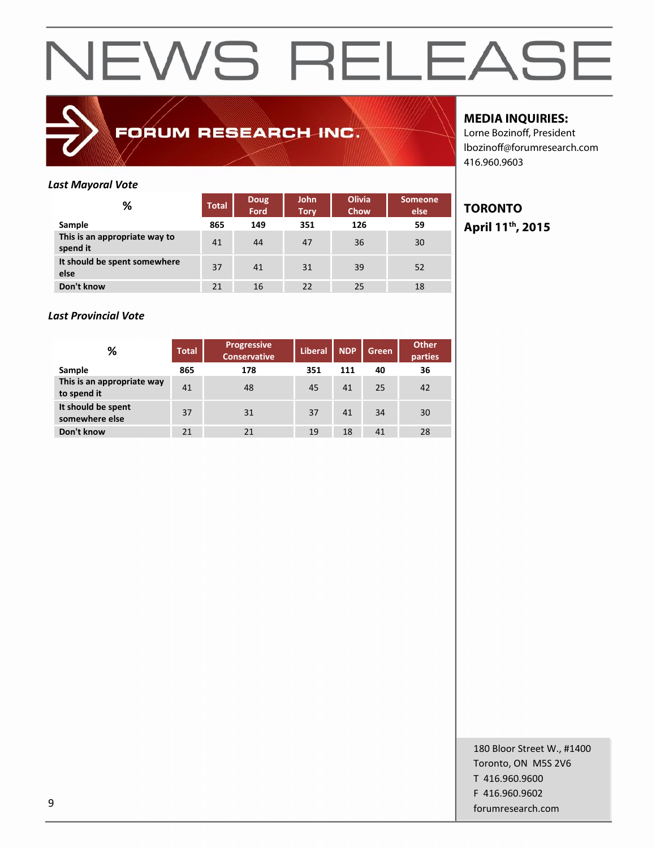

### FORUM RESEARCH INC.

#### **MEDIA INQUIRIES:**

Lorne Bozinoff, President lbozinoff@forumresearch.com 416.960.9603

#### *Last Mayoral Vote*

| %                                         | <b>Total</b> | Doug<br>Ford | <b>John</b><br><b>Tory</b> | <b>Olivia</b><br>Chow | <b>Someone</b><br>else |           |
|-------------------------------------------|--------------|--------------|----------------------------|-----------------------|------------------------|-----------|
| Sample                                    | 865          | 149          | 351                        | 126                   | 59                     | ${\bf A}$ |
| This is an appropriate way to<br>spend it | 41           | 44           | 47                         | 36                    | 30                     |           |
| It should be spent somewhere<br>else      | 37           | 41           | 31                         | 39                    | 52                     |           |
| Don't know                                | 21           | 16           | 22                         | 25                    | 18                     |           |

#### *Last Provincial Vote*

| ℅                                         | <b>Total</b> | <b>Progressive</b><br><b>Conservative</b> | <b>Liberal</b> | <b>NDP</b> | Green | <b>Other</b><br>parties |
|-------------------------------------------|--------------|-------------------------------------------|----------------|------------|-------|-------------------------|
| Sample                                    | 865          | 178                                       | 351            | 111        | 40    | 36                      |
| This is an appropriate way<br>to spend it | 41           | 48                                        | 45             | 41         | 25    | 42                      |
| It should be spent<br>somewhere else      | 37           | 31                                        | 37             | 41         | 34    | 30                      |
| Don't know                                | 21           | 21                                        | 19             | 18         | 41    | 28                      |

#### **TORONTO April 11th, 2015**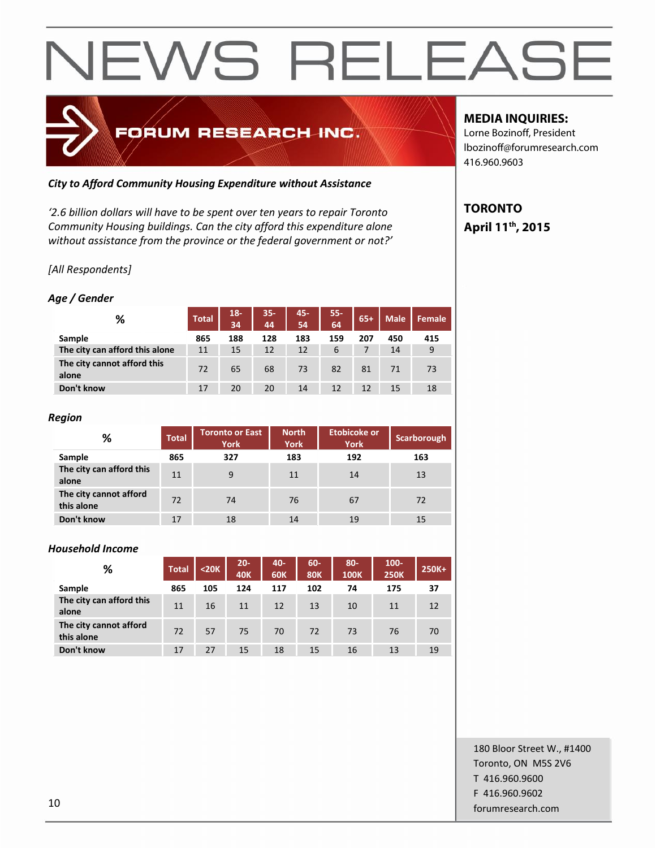

#### *City to Afford Community Housing Expenditure without Assistance*

*'2.6 billion dollars will have to be spent over ten years to repair Toronto Community Housing buildings. Can the city afford this expenditure alone without assistance from the province or the federal government or not?'*

#### *[All Respondents]*

#### *Age / Gender*

| ℅                                    | <b>Total</b> | 18-<br>34 | $35 -$<br>44 | 45-<br>54 | $55 -$<br>64 | $65+$ | <b>Male</b> | Female |
|--------------------------------------|--------------|-----------|--------------|-----------|--------------|-------|-------------|--------|
| Sample                               | 865          | 188       | 128          | 183       | 159          | 207   | 450         | 415    |
| The city can afford this alone       | 11           | 15        | 12           | 12        | 6            |       | 14          | 9      |
| The city cannot afford this<br>alone | 72           | 65        | 68           | 73        | 82           | 81    | 71          | 73     |
| Don't know                           | 17           | 20        | 20           | 14        | 12           | 12    | 15          | 18     |

#### *Region*

| %                                    | <b>Total</b> | <b>Toronto or East</b><br><b>York</b> | <b>North</b><br><b>York</b> | Etobicoke or<br><b>York</b> | Scarborough |
|--------------------------------------|--------------|---------------------------------------|-----------------------------|-----------------------------|-------------|
| Sample                               | 865          | 327                                   | 183                         | 192                         | 163         |
| The city can afford this<br>alone    | 11           | 9                                     | 11                          | 14                          | 13          |
| The city cannot afford<br>this alone | 72           | 74                                    | 76                          | 67                          | 72          |
| Don't know                           | 17           | 18                                    | 14                          | 19                          | 15          |

#### *Household Income*

| %                                    | <b>Total</b> | $20K$ | $20 -$<br><b>40K</b> | 40-<br><b>60K</b> | 60-<br><b>80K</b> | $80 -$<br><b>100K</b> | $100 -$<br><b>250K</b> | 250K+ |
|--------------------------------------|--------------|-------|----------------------|-------------------|-------------------|-----------------------|------------------------|-------|
| Sample                               | 865          | 105   | 124                  | 117               | 102               | 74                    | 175                    | 37    |
| The city can afford this<br>alone    | 11           | 16    | 11                   | 12                | 13                | 10                    | 11                     | 12    |
| The city cannot afford<br>this alone | 72           | 57    | 75                   | 70                | 72                | 73                    | 76                     | 70    |
| Don't know                           | 17           | 27    | 15                   | 18                | 15                | 16                    | 13                     | 19    |

#### **MEDIA INQUIRIES:**

Lorne Bozinoff, President lbozinoff@forumresearch.com 416.960.9603

### **TORONTO April 11th, 2015**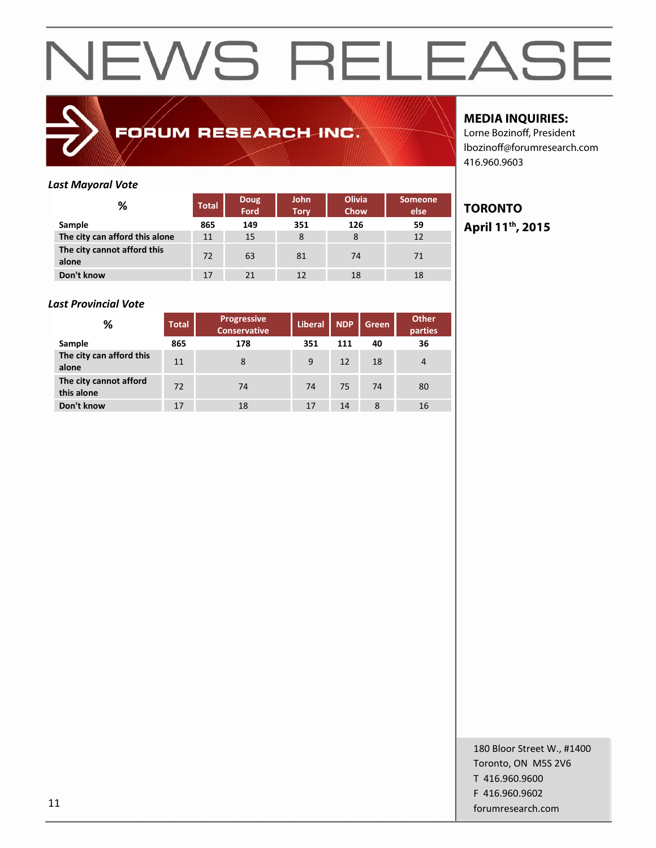

### FORUM RESEARCH INC.

#### **MEDIA INQUIRIES:**

Lorne Bozinoff, President lbozinoff@forumresearch.com 416.960.9603

#### *Last Mayoral Vote*

| %                                    | <b>Total</b> | <b>Doug</b><br>Ford | <b>John</b><br>Tory | <b>Olivia</b><br>Chow | <b>Someone</b><br>else |   |
|--------------------------------------|--------------|---------------------|---------------------|-----------------------|------------------------|---|
| Sample                               | 865          | 149                 | 351                 | 126                   | 59                     | A |
| The city can afford this alone       | 11           | 15                  | 8                   | 8                     | 12                     |   |
| The city cannot afford this<br>alone | 72           | 63                  | 81                  | 74                    | 71                     |   |
| Don't know                           | 17           | 21                  | 12                  | 18                    | 18                     |   |

#### *Last Provincial Vote*

| %                                    | <b>Total</b> | Progressive<br><b>Conservative</b> | <b>Liberal</b> | <b>NDP</b> | Green | <b>Other</b><br>parties |
|--------------------------------------|--------------|------------------------------------|----------------|------------|-------|-------------------------|
| Sample                               | 865          | 178                                | 351            | 111        | 40    | 36                      |
| The city can afford this<br>alone    | 11           | 8                                  | 9              | 12         | 18    | 4                       |
| The city cannot afford<br>this alone | 72           | 74                                 | 74             | 75         | 74    | 80                      |
| Don't know                           | 17           | 18                                 | 17             | 14         | 8     | 16                      |

#### **TORONTO April 11th, 2015**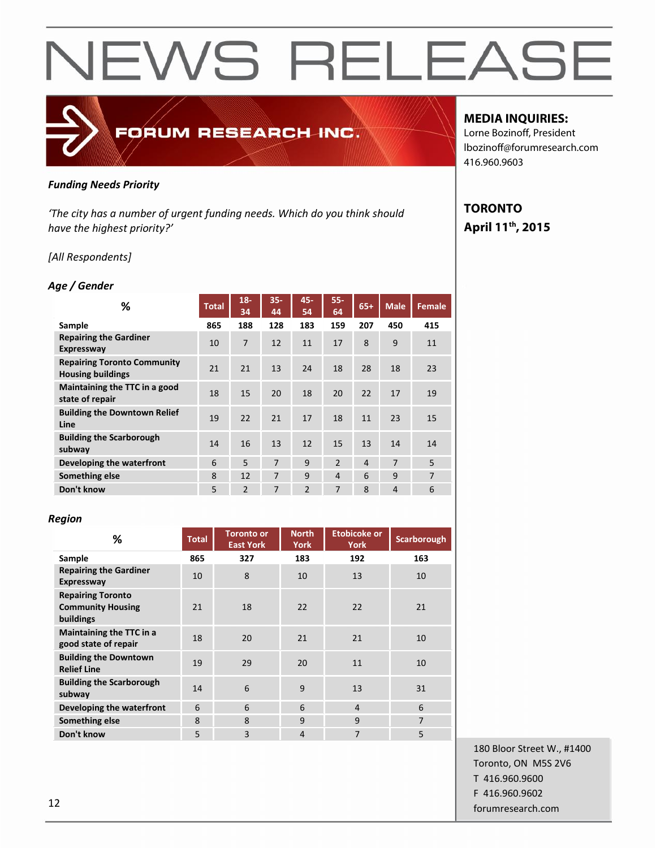### FORUM RESEARCH INC.

#### *Funding Needs Priority*

*'The city has a number of urgent funding needs. Which do you think should have the highest priority?'*

#### *[All Respondents]*

#### *Age / Gender*

| ℅                                                              | <b>Total</b> | $18 -$<br>34   | $35 -$<br>44   | 45-<br>54      | 55-<br>64      | $65+$          | <b>Male</b>    | <b>Female</b>  |
|----------------------------------------------------------------|--------------|----------------|----------------|----------------|----------------|----------------|----------------|----------------|
| Sample                                                         | 865          | 188            | 128            | 183            | 159            | 207            | 450            | 415            |
| <b>Repairing the Gardiner</b><br><b>Expressway</b>             | 10           | 7              | 12             | 11             | 17             | 8              | 9              | 11             |
| <b>Repairing Toronto Community</b><br><b>Housing buildings</b> | 21           | 21             | 13             | 24             | 18             | 28             | 18             | 23             |
| Maintaining the TTC in a good<br>state of repair               | 18           | 15             | 20             | 18             | 20             | 22             | 17             | 19             |
| <b>Building the Downtown Relief</b><br>Line                    | 19           | 22             | 21             | 17             | 18             | 11             | 23             | 15             |
| <b>Building the Scarborough</b><br>subway                      | 14           | 16             | 13             | 12             | 15             | 13             | 14             | 14             |
| Developing the waterfront                                      | 6            | 5              | $\overline{7}$ | 9              | $\overline{2}$ | $\overline{4}$ | 7              | 5              |
| Something else                                                 | 8            | 12             | 7              | 9              | $\overline{4}$ | 6              | 9              | $\overline{7}$ |
| Don't know                                                     | 5            | $\overline{2}$ | 7              | $\overline{2}$ | 7              | 8              | $\overline{4}$ | 6              |

#### *Region*

| ℅                                                                 | <b>Total</b> | <b>Toronto or</b><br><b>East York</b> | <b>Etobicoke or</b><br><b>North</b><br>York |                | Scarborough    |
|-------------------------------------------------------------------|--------------|---------------------------------------|---------------------------------------------|----------------|----------------|
| Sample                                                            | 865          | 327                                   | 183                                         | 192            | 163            |
| <b>Repairing the Gardiner</b><br><b>Expressway</b>                | 10           | 8                                     | 10                                          | 13             | 10             |
| <b>Repairing Toronto</b><br><b>Community Housing</b><br>buildings | 21           | 18                                    | 22                                          | 22             | 21             |
| Maintaining the TTC in a<br>good state of repair                  | 18           | 20                                    | 21                                          | 21             | 10             |
| <b>Building the Downtown</b><br><b>Relief Line</b>                | 19           | 29                                    | 20                                          | 11             | 10             |
| <b>Building the Scarborough</b><br>subway                         | 14           | 6                                     | 9                                           | 13             | 31             |
| Developing the waterfront                                         | 6            | 6                                     | 6                                           | $\overline{4}$ | 6              |
| Something else                                                    | 8            | 8                                     | 9                                           | 9              | $\overline{7}$ |
| Don't know                                                        | 5            | 3                                     | 4                                           | 7              | 5              |

#### **MEDIA INQUIRIES:**

Lorne Bozinoff, President lbozinoff@forumresearch.com 416.960.9603

### **TORONTO April 11th, 2015**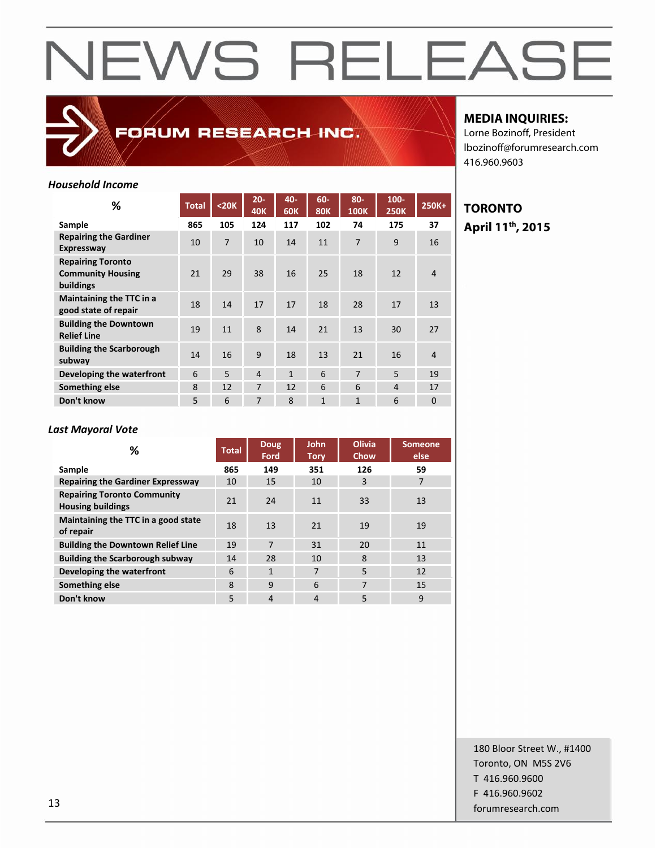

FORUM RESEARCH INC.

#### **MEDIA INQUIRIES:**

Lorne Bozinoff, President lbozinoff@forumresearch.com 416.960.9603

#### *Household Income*

| %                                                                 | <b>Total</b> | $20K$          | $20 -$<br><b>40K</b> | 40-<br><b>60K</b> | 60-<br><b>80K</b> | 80-<br><b>100K</b> | $100 -$<br><b>250K</b> | 250K+          | ΤO        |
|-------------------------------------------------------------------|--------------|----------------|----------------------|-------------------|-------------------|--------------------|------------------------|----------------|-----------|
| Sample                                                            | 865          | 105            | 124                  | 117               | 102               | 74                 | 175                    | 37             | ${\bf A}$ |
| <b>Repairing the Gardiner</b><br><b>Expressway</b>                | 10           | $\overline{7}$ | 10                   | 14                | 11                | 7                  | 9                      | 16             |           |
| <b>Repairing Toronto</b><br><b>Community Housing</b><br>buildings | 21           | 29             | 38                   | 16                | 25                | 18                 | 12                     | $\overline{4}$ |           |
| Maintaining the TTC in a<br>good state of repair                  | 18           | 14             | 17                   | 17                | 18                | 28                 | 17                     | 13             |           |
| <b>Building the Downtown</b><br><b>Relief Line</b>                | 19           | 11             | 8                    | 14                | 21                | 13                 | 30                     | 27             |           |
| <b>Building the Scarborough</b><br>subway                         | 14           | 16             | 9                    | 18                | 13                | 21                 | 16                     | $\overline{4}$ |           |
| Developing the waterfront                                         | 6            | 5              | $\overline{4}$       | $\mathbf{1}$      | 6                 | $\overline{7}$     | 5                      | 19             |           |
| Something else                                                    | 8            | 12             | $\overline{7}$       | 12                | 6                 | 6                  | $\overline{4}$         | 17             |           |
| Don't know                                                        | 5            | 6              | 7                    | 8                 | $\mathbf{1}$      | $\mathbf{1}$       | 6                      | $\mathbf{0}$   |           |

#### **TORONTO 250K 250K+ April 11th, 2015**

#### *Last Mayoral Vote*

| %                                                              | <b>Total</b> | <b>Doug</b><br>Ford | <b>John</b><br><b>Tory</b> | <b>Olivia</b><br>Chow | <b>Someone</b><br>else |
|----------------------------------------------------------------|--------------|---------------------|----------------------------|-----------------------|------------------------|
| Sample                                                         | 865          | 149                 | 351                        | 126                   | 59                     |
| <b>Repairing the Gardiner Expressway</b>                       | 10           | 15                  | 10                         | 3                     | 7                      |
| <b>Repairing Toronto Community</b><br><b>Housing buildings</b> | 21           | 24                  | 11                         | 33                    | 13                     |
| Maintaining the TTC in a good state<br>of repair               | 18           | 13                  | 21                         | 19                    | 19                     |
| <b>Building the Downtown Relief Line</b>                       | 19           | $\overline{7}$      | 31                         | 20                    | 11                     |
| <b>Building the Scarborough subway</b>                         | 14           | 28                  | 10                         | 8                     | 13                     |
| Developing the waterfront                                      | 6            | $\mathbf{1}$        | 7                          | 5                     | 12                     |
| Something else                                                 | 8            | 9                   | 6                          | 7                     | 15                     |
| Don't know                                                     | 5            | $\overline{4}$      | $\overline{4}$             | 5                     | 9                      |

180 Bloor Street W., #1400 Toronto, ON M5S 2V6 T 416.960.9600 F 416.960.9602 forumresearch.com and the set of the set of the set of the set of the set of the set of the set of the set of the set of the set of the set of the set of the set of the set of the set of the set of the set of the set of th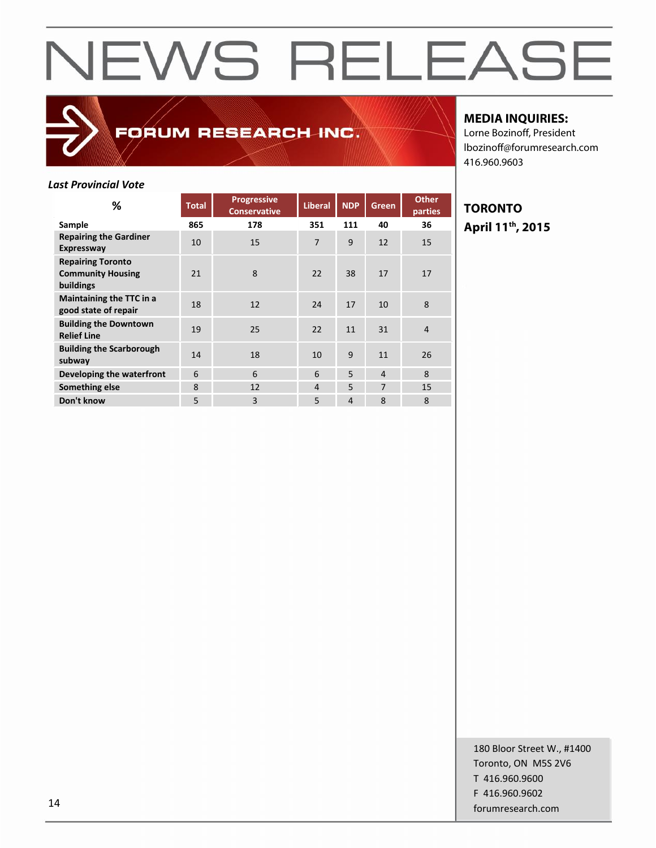### FORUM RESEARCH INC.

#### **MEDIA INQUIRIES:**

Lorne Bozinoff, President lbozinoff@forumresearch.com 416.960.9603

#### *Last Provincial Vote*

| %                                                                 | <b>Total</b> | <b>Progressive</b><br><b>Conservative</b> | <b>Liberal</b> | <b>NDP</b>     | Green          | <b>Other</b><br>parties |   |
|-------------------------------------------------------------------|--------------|-------------------------------------------|----------------|----------------|----------------|-------------------------|---|
| Sample                                                            | 865          | 178                                       | 351            | 111            | 40             | 36                      | ı |
| <b>Repairing the Gardiner</b><br><b>Expressway</b>                | 10           | 15                                        | $\overline{7}$ | 9              | 12             | 15                      |   |
| <b>Repairing Toronto</b><br><b>Community Housing</b><br>buildings | 21           | 8                                         | 22             | 38             | 17             | 17                      |   |
| Maintaining the TTC in a<br>good state of repair                  | 18           | 12                                        | 24             | 17             | 10             | 8                       |   |
| <b>Building the Downtown</b><br><b>Relief Line</b>                | 19           | 25                                        | 22             | 11             | 31             | $\overline{4}$          |   |
| <b>Building the Scarborough</b><br>subway                         | 14           | 18                                        | 10             | 9              | 11             | 26                      |   |
| Developing the waterfront                                         | 6            | 6                                         | 6              | 5              | $\overline{4}$ | 8                       |   |
| Something else                                                    | 8            | 12                                        | 4              | 5              | $\overline{7}$ | 15                      |   |
| Don't know                                                        | 5            | 3                                         | 5              | $\overline{4}$ | 8              | 8                       |   |

#### **TORONTO April 11th, 2015**